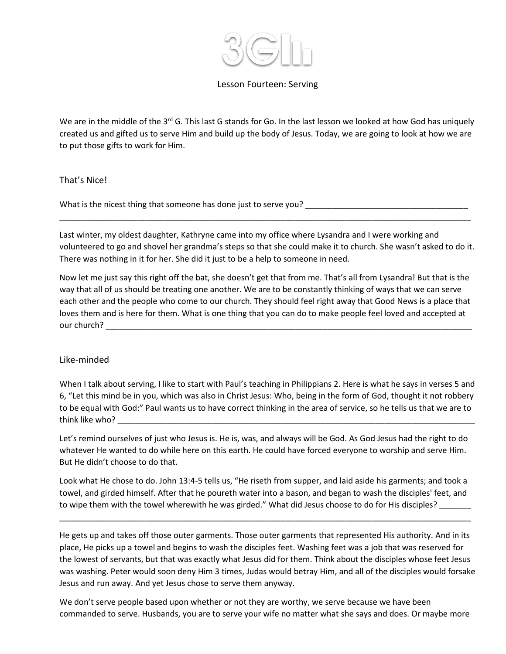

### Lesson Fourteen: Serving

We are in the middle of the 3<sup>rd</sup> G. This last G stands for Go. In the last lesson we looked at how God has uniquely created us and gifted us to serve Him and build up the body of Jesus. Today, we are going to look at how we are to put those gifts to work for Him.

That's Nice!

What is the nicest thing that someone has done just to serve you? \_\_\_\_\_\_\_\_\_\_\_\_\_\_

Last winter, my oldest daughter, Kathryne came into my office where Lysandra and I were working and volunteered to go and shovel her grandma's steps so that she could make it to church. She wasn't asked to do it. There was nothing in it for her. She did it just to be a help to someone in need.

\_\_\_\_\_\_\_\_\_\_\_\_\_\_\_\_\_\_\_\_\_\_\_\_\_\_\_\_\_\_\_\_\_\_\_\_\_\_\_\_\_\_\_\_\_\_\_\_\_\_\_\_\_\_\_\_\_\_\_\_\_\_\_\_\_\_\_\_\_\_\_\_\_\_\_\_\_\_\_\_\_\_\_\_\_\_\_\_\_\_\_

Now let me just say this right off the bat, she doesn't get that from me. That's all from Lysandra! But that is the way that all of us should be treating one another. We are to be constantly thinking of ways that we can serve each other and the people who come to our church. They should feel right away that Good News is a place that loves them and is here for them. What is one thing that you can do to make people feel loved and accepted at our church? \_\_\_\_\_\_\_\_\_\_\_\_\_\_\_\_\_\_\_\_\_\_\_\_\_\_\_\_\_\_\_\_\_\_\_\_\_\_\_\_\_\_\_\_\_\_\_\_\_\_\_\_\_\_\_\_\_\_\_\_\_\_\_\_\_\_\_\_\_\_\_\_\_\_\_\_\_\_\_\_\_

### Like-minded

When I talk about serving, I like to start with Paul's teaching in Philippians 2. Here is what he says in verses 5 and 6, "Let this mind be in you, which was also in Christ Jesus: Who, being in the form of God, thought it not robbery to be equal with God:" Paul wants us to have correct thinking in the area of service, so he tells us that we are to think like who?

Let's remind ourselves of just who Jesus is. He is, was, and always will be God. As God Jesus had the right to do whatever He wanted to do while here on this earth. He could have forced everyone to worship and serve Him. But He didn't choose to do that.

Look what He chose to do. John 13:4-5 tells us, "He riseth from supper, and laid aside his garments; and took a towel, and girded himself. After that he poureth water into a bason, and began to wash the disciples' feet, and to wipe them with the towel wherewith he was girded." What did Jesus choose to do for His disciples?

\_\_\_\_\_\_\_\_\_\_\_\_\_\_\_\_\_\_\_\_\_\_\_\_\_\_\_\_\_\_\_\_\_\_\_\_\_\_\_\_\_\_\_\_\_\_\_\_\_\_\_\_\_\_\_\_\_\_\_\_\_\_\_\_\_\_\_\_\_\_\_\_\_\_\_\_\_\_\_\_\_\_\_\_\_\_\_\_\_\_\_

He gets up and takes off those outer garments. Those outer garments that represented His authority. And in its place, He picks up a towel and begins to wash the disciples feet. Washing feet was a job that was reserved for the lowest of servants, but that was exactly what Jesus did for them. Think about the disciples whose feet Jesus was washing. Peter would soon deny Him 3 times, Judas would betray Him, and all of the disciples would forsake Jesus and run away. And yet Jesus chose to serve them anyway.

We don't serve people based upon whether or not they are worthy, we serve because we have been commanded to serve. Husbands, you are to serve your wife no matter what she says and does. Or maybe more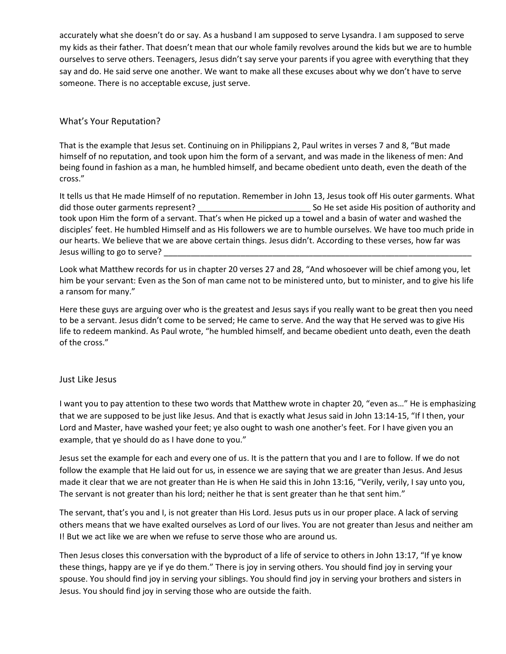accurately what she doesn't do or say. As a husband I am supposed to serve Lysandra. I am supposed to serve my kids as their father. That doesn't mean that our whole family revolves around the kids but we are to humble ourselves to serve others. Teenagers, Jesus didn't say serve your parents if you agree with everything that they say and do. He said serve one another. We want to make all these excuses about why we don't have to serve someone. There is no acceptable excuse, just serve.

## What's Your Reputation?

That is the example that Jesus set. Continuing on in Philippians 2, Paul writes in verses 7 and 8, "But made himself of no reputation, and took upon him the form of a servant, and was made in the likeness of men: And being found in fashion as a man, he humbled himself, and became obedient unto death, even the death of the cross."

It tells us that He made Himself of no reputation. Remember in John 13, Jesus took off His outer garments. What did those outer garments represent? \_\_\_\_\_\_\_\_\_\_\_\_\_\_\_\_\_\_\_\_\_\_\_\_\_ So He set aside His position of authority and took upon Him the form of a servant. That's when He picked up a towel and a basin of water and washed the disciples' feet. He humbled Himself and as His followers we are to humble ourselves. We have too much pride in our hearts. We believe that we are above certain things. Jesus didn't. According to these verses, how far was Jesus willing to go to serve?

Look what Matthew records for us in chapter 20 verses 27 and 28, "And whosoever will be chief among you, let him be your servant: Even as the Son of man came not to be ministered unto, but to minister, and to give his life a ransom for many."

Here these guys are arguing over who is the greatest and Jesus says if you really want to be great then you need to be a servant. Jesus didn't come to be served; He came to serve. And the way that He served was to give His life to redeem mankind. As Paul wrote, "he humbled himself, and became obedient unto death, even the death of the cross."

### Just Like Jesus

I want you to pay attention to these two words that Matthew wrote in chapter 20, "even as…" He is emphasizing that we are supposed to be just like Jesus. And that is exactly what Jesus said in John 13:14-15, "If I then, your Lord and Master, have washed your feet; ye also ought to wash one another's feet. For I have given you an example, that ye should do as I have done to you."

Jesus set the example for each and every one of us. It is the pattern that you and I are to follow. If we do not follow the example that He laid out for us, in essence we are saying that we are greater than Jesus. And Jesus made it clear that we are not greater than He is when He said this in John 13:16, "Verily, verily, I say unto you, The servant is not greater than his lord; neither he that is sent greater than he that sent him."

The servant, that's you and I, is not greater than His Lord. Jesus puts us in our proper place. A lack of serving others means that we have exalted ourselves as Lord of our lives. You are not greater than Jesus and neither am I! But we act like we are when we refuse to serve those who are around us.

Then Jesus closes this conversation with the byproduct of a life of service to others in John 13:17, "If ye know these things, happy are ye if ye do them." There is joy in serving others. You should find joy in serving your spouse. You should find joy in serving your siblings. You should find joy in serving your brothers and sisters in Jesus. You should find joy in serving those who are outside the faith.